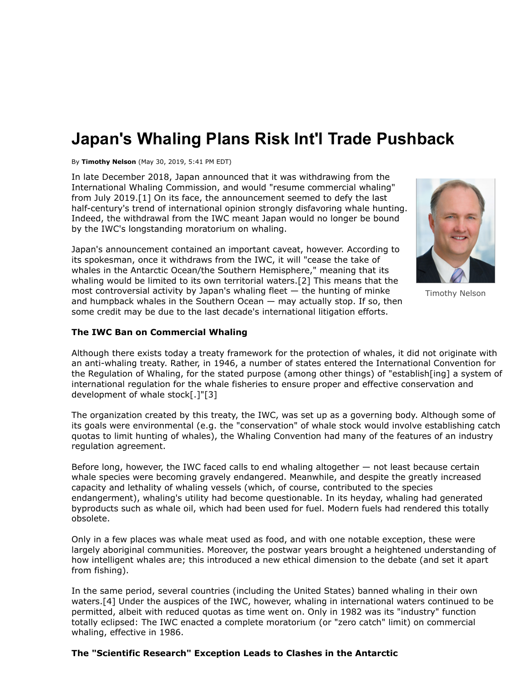# **Japan's Whaling Plans Risk Int'l Trade Pushback**

By **Timothy Nelson** (May 30, 2019, 5:41 PM EDT)

In late December 2018, Japan announced that it was withdrawing from the International Whaling Commission, and would "resume commercial whaling" from July 2019.[1] On its face, the announcement seemed to defy the last half-century's trend of international opinion strongly disfavoring whale hunting. Indeed, the withdrawal from the IWC meant Japan would no longer be bound by the IWC's longstanding moratorium on whaling.

Japan's announcement contained an important caveat, however. According to its spokesman, once it withdraws from the IWC, it will "cease the take of whales in the Antarctic Ocean/the Southern Hemisphere," meaning that its whaling would be limited to its own territorial waters.[2] This means that the most controversial activity by Japan's whaling fleet — the hunting of minke and humpback whales in the Southern Ocean — may actually stop. If so, then some credit may be due to the last decade's international litigation efforts.

Timothy Nelson

### **The IWC Ban on Commercial Whaling**

Although there exists today a treaty framework for the protection of whales, it did not originate with an anti-whaling treaty. Rather, in 1946, a number of states entered the International Convention for the Regulation of Whaling, for the stated purpose (among other things) of "establish[ing] a system of international regulation for the whale fisheries to ensure proper and effective conservation and development of whale stock[.]"[3]

The organization created by this treaty, the IWC, was set up as a governing body. Although some of its goals were environmental (e.g. the "conservation" of whale stock would involve establishing catch quotas to limit hunting of whales), the Whaling Convention had many of the features of an industry regulation agreement.

Before long, however, the IWC faced calls to end whaling altogether — not least because certain whale species were becoming gravely endangered. Meanwhile, and despite the greatly increased capacity and lethality of whaling vessels (which, of course, contributed to the species endangerment), whaling's utility had become questionable. In its heyday, whaling had generated byproducts such as whale oil, which had been used for fuel. Modern fuels had rendered this totally obsolete.

Only in a few places was whale meat used as food, and with one notable exception, these were largely aboriginal communities. Moreover, the postwar years brought a heightened understanding of how intelligent whales are; this introduced a new ethical dimension to the debate (and set it apart from fishing).

In the same period, several countries (including the United States) banned whaling in their own waters.[4] Under the auspices of the IWC, however, whaling in international waters continued to be permitted, albeit with reduced quotas as time went on. Only in 1982 was its "industry" function totally eclipsed: The IWC enacted a complete moratorium (or "zero catch" limit) on commercial whaling, effective in 1986.

#### **The "Scientific Research" Exception Leads to Clashes in the Antarctic**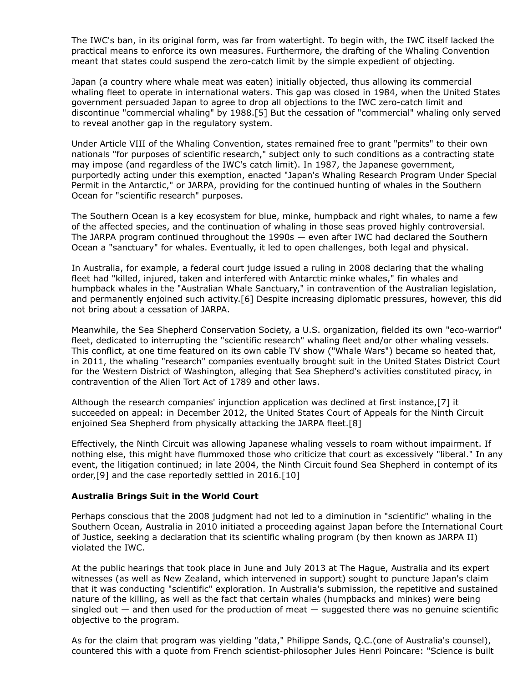The IWC's ban, in its original form, was far from watertight. To begin with, the IWC itself lacked the practical means to enforce its own measures. Furthermore, the drafting of the Whaling Convention meant that states could suspend the zero-catch limit by the simple expedient of objecting.

Japan (a country where whale meat was eaten) initially objected, thus allowing its commercial whaling fleet to operate in international waters. This gap was closed in 1984, when the United States government persuaded Japan to agree to drop all objections to the IWC zero-catch limit and discontinue "commercial whaling" by 1988.[5] But the cessation of "commercial" whaling only served to reveal another gap in the regulatory system.

Under Article VIII of the Whaling Convention, states remained free to grant "permits" to their own nationals "for purposes of scientific research," subject only to such conditions as a contracting state may impose (and regardless of the IWC's catch limit). In 1987, the Japanese government, purportedly acting under this exemption, enacted "Japan's Whaling Research Program Under Special Permit in the Antarctic," or JARPA, providing for the continued hunting of whales in the Southern Ocean for "scientific research" purposes.

The Southern Ocean is a key ecosystem for blue, minke, humpback and right whales, to name a few of the affected species, and the continuation of whaling in those seas proved highly controversial. The JARPA program continued throughout the 1990s — even after IWC had declared the Southern Ocean a "sanctuary" for whales. Eventually, it led to open challenges, both legal and physical.

In Australia, for example, a federal court judge issued a ruling in 2008 declaring that the whaling fleet had "killed, injured, taken and interfered with Antarctic minke whales," fin whales and humpback whales in the "Australian Whale Sanctuary," in contravention of the Australian legislation, and permanently enjoined such activity.[6] Despite increasing diplomatic pressures, however, this did not bring about a cessation of JARPA.

Meanwhile, the Sea Shepherd Conservation Society, a U.S. organization, fielded its own "eco-warrior" fleet, dedicated to interrupting the "scientific research" whaling fleet and/or other whaling vessels. This conflict, at one time featured on its own cable TV show ("Whale Wars") became so heated that, in 2011, the whaling "research" companies eventually brought suit in the United States District Court for the Western District of Washington, alleging that Sea Shepherd's activities constituted piracy, in contravention of the Alien Tort Act of 1789 and other laws.

Although the research companies' injunction application was declined at first instance,[7] it succeeded on appeal: in December 2012, the [United States Court of Appeals for the Ninth Circuit](https://www.law360.com/agencies/united-states-court-of-appeals-for-the-ninth-circuit) enjoined Sea Shepherd from physically attacking the JARPA fleet.[8]

Effectively, the Ninth Circuit was allowing Japanese whaling vessels to roam without impairment. If nothing else, this might have flummoxed those who criticize that court as excessively "liberal." In any event, the litigation continued; in late 2004, the Ninth Circuit found Sea Shepherd in contempt of its order,[9] and the case reportedly settled in 2016.[10]

#### **Australia Brings Suit in the World Court**

Perhaps conscious that the 2008 judgment had not led to a diminution in "scientific" whaling in the [Southern Ocean, Australia in 2010 initiated a proceeding against Japan before the International Court](https://www.law360.com/agencies/international-court-of-justice) of Justice, seeking a declaration that its scientific whaling program (by then known as JARPA II) violated the IWC.

At the public hearings that took place in June and July 2013 at The Hague, Australia and its expert witnesses (as well as New Zealand, which intervened in support) sought to puncture Japan's claim that it was conducting "scientific" exploration. In Australia's submission, the repetitive and sustained nature of the killing, as well as the fact that certain whales (humpbacks and minkes) were being singled out  $-$  and then used for the production of meat  $-$  suggested there was no genuine scientific objective to the program.

As for the claim that program was yielding "data," Philippe Sands, Q.C.(one of Australia's counsel), countered this with a quote from French scientist-philosopher Jules Henri Poincare: "Science is built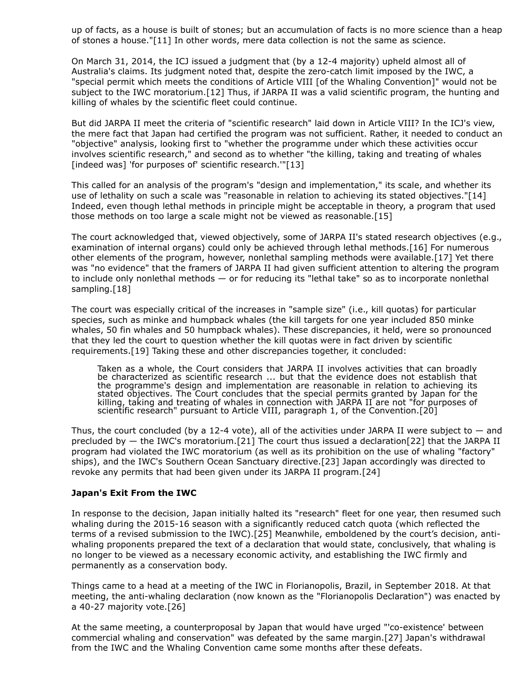up of facts, as a house is built of stones; but an accumulation of facts is no more science than a heap of stones a house."[11] In other words, mere data collection is not the same as science.

On March 31, 2014, the ICJ issued a judgment that (by a 12-4 majority) upheld almost all of Australia's claims. Its judgment noted that, despite the zero-catch limit imposed by the IWC, a "special permit which meets the conditions of Article VIII [of the Whaling Convention]" would not be subject to the IWC moratorium.[12] Thus, if JARPA II was a valid scientific program, the hunting and killing of whales by the scientific fleet could continue.

But did JARPA II meet the criteria of "scientific research" laid down in Article VIII? In the ICJ's view, the mere fact that Japan had certified the program was not sufficient. Rather, it needed to conduct an "objective" analysis, looking first to "whether the programme under which these activities occur involves scientific research," and second as to whether "the killing, taking and treating of whales [indeed was] 'for purposes of' scientific research.'"[13]

This called for an analysis of the program's "design and implementation," its scale, and whether its use of lethality on such a scale was "reasonable in relation to achieving its stated objectives."[14] Indeed, even though lethal methods in principle might be acceptable in theory, a program that used those methods on too large a scale might not be viewed as reasonable.[15]

The court acknowledged that, viewed objectively, some of JARPA II's stated research objectives (e.g., examination of internal organs) could only be achieved through lethal methods.[16] For numerous other elements of the program, however, nonlethal sampling methods were available.[17] Yet there was "no evidence" that the framers of JARPA II had given sufficient attention to altering the program to include only nonlethal methods — or for reducing its "lethal take" so as to incorporate nonlethal sampling.[18]

The court was especially critical of the increases in "sample size" (i.e., kill quotas) for particular species, such as minke and humpback whales (the kill targets for one year included 850 minke whales, 50 fin whales and 50 humpback whales). These discrepancies, it held, were so pronounced that they led the court to question whether the kill quotas were in fact driven by scientific requirements.[19] Taking these and other discrepancies together, it concluded:

Taken as a whole, the Court considers that JARPA II involves activities that can broadly be characterized as scientific research ... but that the evidence does not establish that the programme's design and implementation are reasonable in relation to achieving its stated objectives. The Court concludes that the special permits granted by Japan for the killing, taking and treating of whales in connection with JARPA II are not "for purposes of scientific research" pursuant to Article VIII, paragraph 1, of the Convention.[20]

Thus, the court concluded (by a 12-4 vote), all of the activities under JARPA II were subject to  $-$  and precluded by — the IWC's moratorium.[21] The court thus issued a declaration[22] that the JARPA II program had violated the IWC moratorium (as well as its prohibition on the use of whaling "factory" ships), and the IWC's Southern Ocean Sanctuary directive.[23] Japan accordingly was directed to revoke any permits that had been given under its JARPA II program.[24]

## **Japan's Exit From the IWC**

In response to the decision, Japan initially halted its "research" fleet for one year, then resumed such whaling during the 2015-16 season with a significantly reduced catch quota (which reflected the terms of a revised submission to the IWC).[25] Meanwhile, emboldened by the court's decision, antiwhaling proponents prepared the text of a declaration that would state, conclusively, that whaling is no longer to be viewed as a necessary economic activity, and establishing the IWC firmly and permanently as a conservation body.

Things came to a head at a meeting of the IWC in Florianopolis, Brazil, in September 2018. At that meeting, the anti-whaling declaration (now known as the "Florianopolis Declaration") was enacted by a 40-27 majority vote.[26]

At the same meeting, a counterproposal by Japan that would have urged "'co-existence' between commercial whaling and conservation" was defeated by the same margin.[27] Japan's withdrawal from the IWC and the Whaling Convention came some months after these defeats.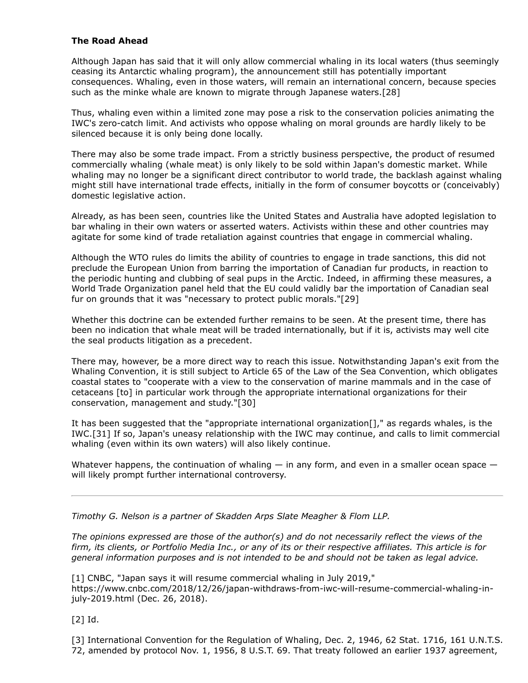# **The Road Ahead**

Although Japan has said that it will only allow commercial whaling in its local waters (thus seemingly ceasing its Antarctic whaling program), the announcement still has potentially important consequences. Whaling, even in those waters, will remain an international concern, because species such as the minke whale are known to migrate through Japanese waters.[28]

Thus, whaling even within a limited zone may pose a risk to the conservation policies animating the IWC's zero-catch limit. And activists who oppose whaling on moral grounds are hardly likely to be silenced because it is only being done locally.

There may also be some trade impact. From a strictly business perspective, the product of resumed commercially whaling (whale meat) is only likely to be sold within Japan's domestic market. While whaling may no longer be a significant direct contributor to world trade, the backlash against whaling might still have international trade effects, initially in the form of consumer boycotts or (conceivably) domestic legislative action.

Already, as has been seen, countries like the United States and Australia have adopted legislation to bar whaling in their own waters or asserted waters. Activists within these and other countries may agitate for some kind of trade retaliation against countries that engage in commercial whaling.

Although the WTO rules do limits the ability of countries to engage in trade sanctions, this did not preclude the [European Union](https://www.law360.com/agencies/european-union) from barring the importation of Canadian fur products, in reaction to the periodic hunting and clubbing of seal pups in the Arctic. Indeed, in affirming these measures, a [World Trade Organization](https://www.law360.com/agencies/world-trade-organization) panel held that the EU could validly bar the importation of Canadian seal fur on grounds that it was "necessary to protect public morals."[29]

Whether this doctrine can be extended further remains to be seen. At the present time, there has been no indication that whale meat will be traded internationally, but if it is, activists may well cite the seal products litigation as a precedent.

There may, however, be a more direct way to reach this issue. Notwithstanding Japan's exit from the Whaling Convention, it is still subject to Article 65 of the Law of the Sea Convention, which obligates coastal states to "cooperate with a view to the conservation of marine mammals and in the case of cetaceans [to] in particular work through the appropriate international organizations for their conservation, management and study."[30]

It has been suggested that the "appropriate international organization[]," as regards whales, is the IWC.[31] If so, Japan's uneasy relationship with the IWC may continue, and calls to limit commercial whaling (even within its own waters) will also likely continue.

Whatever happens, the continuation of whaling  $-$  in any form, and even in a smaller ocean space  $$ will likely prompt further international controversy.

*[Timothy G. Nelson](https://www.skadden.com/professionals/n/nelson-timothy-g) is a partner of [Skadden Arps Slate Meagher & Flom LLP.](https://www.law360.com/firms/skadden)*

*The opinions expressed are those of the author(s) and do not necessarily reflect the views of the firm, its clients, or Portfolio Media Inc., or any of its or their respective affiliates. This article is for general information purposes and is not intended to be and should not be taken as legal advice.*

[1] CNBC, "Japan says it will resume commercial whaling in July 2019," [https://www.cnbc.com/2018/12/26/japan-withdraws-from-iwc-will-resume-commercial-whaling-in](https://www.cnbc.com/2018/12/26/japan-withdraws-from-iwc-will-resume-commercial-whaling-in-july-2019.html)july-2019.html (Dec. 26, 2018).

[2] Id.

[3] International Convention for the Regulation of Whaling, Dec. 2, 1946, 62 Stat. 1716, 161 U.N.T.S. 72, amended by protocol Nov. 1, 1956, 8 U.S.T. 69. That treaty followed an earlier 1937 agreement,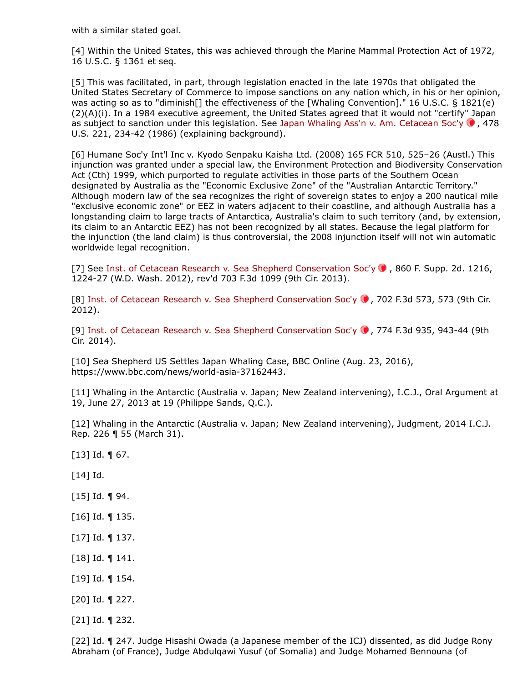with a similar stated goal.

[4] Within the United States, this was achieved through the Marine Mammal Protection Act of 1972, 16 U.S.C. § 1361 et seq.

[5] This was facilitated, in part, through legislation enacted in the late 1970s that obligated the United States Secretary of Commerce to impose sanctions on any nation which, in his or her opinion, was acting so as to "diminish[] the effectiveness of the [Whaling Convention]." 16 U.S.C. § 1821(e) (2)(A)(i). In a 1984 executive agreement, the United States agreed that it would not "certify" Japan as subject to sanction under this legislation. See [Japan Whaling Ass'n v. Am. Cetacean Soc'y](https://advance.lexis.com/api/search?q=1986%20U.S.%20LEXIS%20124&qlang=bool&origination=law360&internalOrigination=article_id%3D1163734%3Bcitation%3D1986%20U.S.%20LEXIS%20124&originationDetail=headline%3DJapan%27s%20Whaling%20Plans%20Risk%20Int%27l%20Trade%20Pushback&)  $\bullet$ , 478 U.S. 221, 234-42 (1986) (explaining background).

[6] Humane Soc'y Int'l Inc v. Kyodo Senpaku Kaisha Ltd. (2008) 165 FCR 510, 525–26 (Austl.) This injunction was granted under a special law, the Environment Protection and Biodiversity Conservation Act (Cth) 1999, which purported to regulate activities in those parts of the Southern Ocean designated by Australia as the "Economic Exclusive Zone" of the "Australian Antarctic Territory." Although modern law of the sea recognizes the right of sovereign states to enjoy a 200 nautical mile "exclusive economic zone" or EEZ in waters adjacent to their coastline, and although Australia has a longstanding claim to large tracts of Antarctica, Australia's claim to such territory (and, by extension, its claim to an Antarctic EEZ) has not been recognized by all states. Because the legal platform for the injunction (the land claim) is thus controversial, the 2008 injunction itself will not win automatic worldwide legal recognition.

[7] See [Inst. of Cetacean Research v. Sea Shepherd Conservation Soc'y](https://advance.lexis.com/api/search?q=2012%20U.S.%20Dist.%20LEXIS%2036867&qlang=bool&origination=law360&internalOrigination=article_id%3D1163734%3Bcitation%3D2012%20U.S.%20Dist.%20LEXIS%2036867&originationDetail=headline%3DJapan%27s%20Whaling%20Plans%20Risk%20Int%27l%20Trade%20Pushback&)  $\bullet$ , 860 F. Supp. 2d. 1216, 1224-27 (W.D. Wash. 2012), rev'd 703 F.3d 1099 (9th Cir. 2013).

[8] Inst. of Cetacean Research v. Sea Shepherd Conservation Soc'y  $\bullet$ , 702 F.3d 573, 573 (9th Cir. 2012).

[9] Inst. of Cetacean Research v. Sea Shepherd Conservation Soc'y  $\bullet$ , 774 F.3d 935, 943-44 (9th Cir. 2014).

[10] Sea Shepherd US Settles Japan Whaling Case, [BBC Online](https://www.law360.com/companies/british-broadcasting-corp) (Aug. 23, 2016), <https://www.bbc.com/news/world-asia-37162443>.

[11] Whaling in the Antarctic (Australia v. Japan; New Zealand intervening), I.C.J., Oral Argument at 19, June 27, 2013 at 19 (Philippe Sands, Q.C.).

[12] Whaling in the Antarctic (Australia v. Japan; New Zealand intervening), Judgment, 2014 I.C.J. Rep. 226 ¶ 55 (March 31).

- $[13]$  Id.  $\P$  67.
- $\lceil 14 \rceil$  Id.
- [15] Id. ¶ 94.
- [16] Id. ¶ 135.
- [17] Id. ¶ 137.
- [18] Id. ¶ 141.
- [19] Id. ¶ 154.
- [20] Id. ¶ 227.
- [21] Id. ¶ 232.

[22] Id. ¶ 247. Judge Hisashi Owada (a Japanese member of the ICJ) dissented, as did Judge Rony Abraham (of France), Judge Abdulqawi Yusuf (of Somalia) and Judge Mohamed Bennouna (of